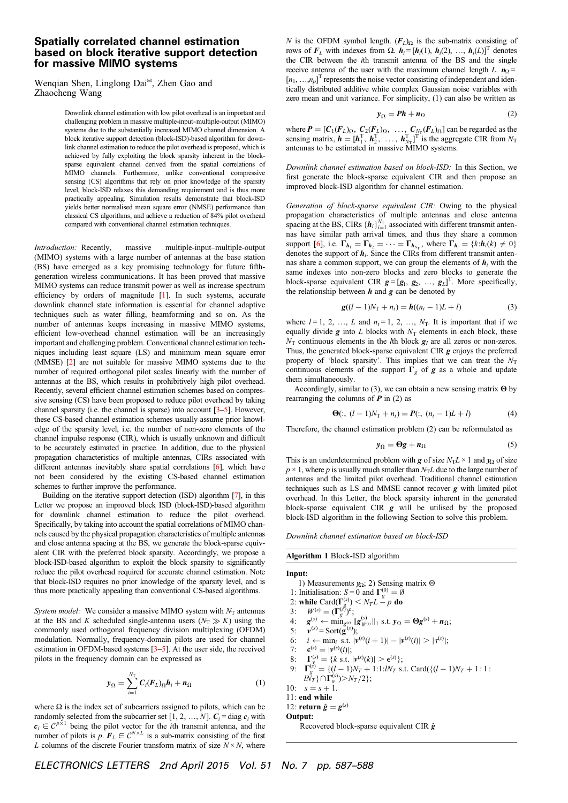## Spatially correlated channel estimation based on block iterative support detection for massive MIMO systems

Wenqian Shen, Linglong Dai<sup>⊠</sup>, Zhen Gao and Zhaocheng Wang

> Downlink channel estimation with low pilot overhead is an important and challenging problem in massive multiple-input–multiple-output (MIMO) systems due to the substantially increased MIMO channel dimension. A block iterative support detection (block-ISD)-based algorithm for downlink channel estimation to reduce the pilot overhead is proposed, which is achieved by fully exploiting the block sparsity inherent in the blocksparse equivalent channel derived from the spatial correlations of MIMO channels. Furthermore, unlike conventional compressive sensing (CS) algorithms that rely on prior knowledge of the sparsity level, block-ISD relaxes this demanding requirement and is thus more practically appealing. Simulation results demonstrate that block-ISD yields better normalised mean square error (NMSE) performance than classical CS algorithms, and achieve a reduction of 84% pilot overhead compared with conventional channel estimation techniques.

Introduction: Recently, massive multiple-input–multiple-output (MIMO) systems with a large number of antennas at the base station (BS) have emerged as a key promising technology for future fifthgeneration wireless communications. It has been proved that massive MIMO systems can reduce transmit power as well as increase spectrum efficiency by orders of magnitude [1]. In such systems, accurate downlink channel state information is essential for channel adaptive techniques such as water filling, beamforming and so on. As the number of antennas keeps increasing in massive MIMO systems, efficient low-overhead channel estimation will be an increasingly important and challenging problem. Conventional channel estimation techniques including least square (LS) and minimum mean square error (MMSE) [2] are not suitable for massive MIMO systems due to the number of required orthogonal pilot scales linearly with the number of antennas at the BS, which results in prohibitively high pilot overhead. Recently, several efficient channel estimation schemes based on compressive sensing (CS) have been proposed to reduce pilot overhead by taking channel sparsity (i.e. the channel is sparse) into account [3–5]. However, these CS-based channel estimation schemes usually assume prior knowledge of the sparsity level, i.e. the number of non-zero elements of the channel impulse response (CIR), which is usually unknown and difficult to be accurately estimated in practice. In addition, due to the physical propagation characteristics of multiple antennas, CIRs associated with different antennas inevitably share spatial correlations [6], which have not been considered by the existing CS-based channel estimation schemes to further improve the performance.

Building on the iterative support detection (ISD) algorithm [7], in this Letter we propose an improved block ISD (block-ISD)-based algorithm for downlink channel estimation to reduce the pilot overhead. Specifically, by taking into account the spatial correlations of MIMO channels caused by the physical propagation characteristics of multiple antennas and close antenna spacing at the BS, we generate the block-sparse equivalent CIR with the preferred block sparsity. Accordingly, we propose a block-ISD-based algorithm to exploit the block sparsity to significantly reduce the pilot overhead required for accurate channel estimation. Note that block-ISD requires no prior knowledge of the sparsity level, and is thus more practically appealing than conventional CS-based algorithms.

System model: We consider a massive MIMO system with  $N_T$  antennas at the BS and K scheduled single-antenna users  $(N<sub>T</sub> \gg K)$  using the commonly used orthogonal frequency division multiplexing (OFDM) modulation. Normally, frequency-domain pilots are used for channel estimation in OFDM-based systems [3–5]. At the user side, the received pilots in the frequency domain can be expressed as

$$
\mathbf{y}_{\Omega} = \sum_{i=1}^{N_{\text{T}}} C_i (F_L)_{\Omega} \mathbf{h}_i + \mathbf{n}_{\Omega} \tag{1}
$$

where  $\Omega$  is the index set of subcarriers assigned to pilots, which can be randomly selected from the subcarrier set [1, 2, ..., N].  $C_i$  = diag  $c_i$  with  $c_i \in C^{p \times 1}$  being the pilot vector for the *i*th transmit antenna, and the number of pilots is  $p \cdot F_L \in C^{N \times L}$  is a sub-matrix consisting of the first L columns of the discrete Fourier transform matrix of size  $N \times N$ , where

N is the OFDM symbol length.  $(F_L)_{\Omega}$  is the sub-matrix consisting of rows of  $F_L$  with indexes from Ω.  $h_i = [h_i(1), h_i(2), ..., h_i(L)]$ <sup>T</sup> denotes the CIR between the ith transmit antenna of the BS and the single receive antenna of the user with the maximum channel length L.  $n_{\Omega}$  =  $[n_1, ..., n_p]$ <sup>T</sup> represents the noise vector consisting of independent and identically distributed additive white complex Gaussian noise variables with zero mean and unit variance. For simplicity, (1) can also be written as

$$
y_{\Omega} = Ph + n_{\Omega} \tag{2}
$$

where  $P = [C_1(F_L)_\Omega, C_2(F_L)_\Omega, \dots, C_{N_T}(F_L)_\Omega]$  can be regarded as the sensing matrix  $h = [h^T \quad h^T \quad h^T]$  is the aggregate CIR from  $N_T$ sensing matrix,  $h = [h_1^T, h_2^T, \dots, h_{N_T}^T]^T$  is the aggregate CIR from  $N_T$ <br>antennas to be estimated in massive MIMO systems antennas to be estimated in massive MIMO systems.

Downlink channel estimation based on block-ISD: In this Section, we first generate the block-sparse equivalent CIR and then propose an improved block-ISD algorithm for channel estimation.

Generation of block-sparse equivalent CIR: Owing to the physical propagation characteristics of multiple antennas and close antenna spacing at the BS, CIRs  ${h_i}_{i=1}^N$  associated with different transmit anten-<br>nas have similar path arrival times, and thus they share a common nas have similar path arrival times, and thus they share a common support [6], i.e.  $\Gamma_{h_1} = \Gamma_{h_2} = \cdots = \Gamma_{h_{N_T}}$ , where  $\Gamma_{h_i} = \{k : h_i(k) \neq 0\}$ denotes the support of  $h_i$ . Since the CIRs from different transmit antennas share a common support, we can group the elements of  $h_i$  with the same indexes into non-zero blocks and zero blocks to generate the block-sparse equivalent CIR  $g = [g_1, g_2, ..., g_L]^T$ . More specifically, the relationship between  $h$  and  $g$  can be denoted by

$$
g((l-1)N_{\rm T} + n_t) = h((n_t - 1)L + l)
$$
 (3)

where  $l = 1, 2, ..., L$  and  $n_t = 1, 2, ..., N_T$ . It is important that if we equally divide g into L blocks with  $N<sub>T</sub>$  elements in each block, these  $N<sub>T</sub>$  continuous elements in the *l*th block  $g<sub>l</sub>$  are all zeros or non-zeros. Thus, the generated block-sparse equivalent CIR  $g$  enjoys the preferred property of 'block sparsity'. This implies that we can treat the  $N_T$ continuous elements of the support  $\Gamma_g$  of g as a whole and update them simultaneously.

Accordingly, similar to (3), we can obtain a new sensing matrix Θ by rearranging the columns of  $P$  in (2) as

$$
\Theta(:, (l-1)N_{\rm T} + n_t) = P(:, (n_t - 1)L + l)
$$
\n(4)

Therefore, the channel estimation problem (2) can be reformulated as

$$
y_{\Omega} = \Theta g + n_{\Omega} \tag{5}
$$

This is an underdetermined problem with g of size  $N<sub>T</sub>L \times 1$  and  $y<sub>\Omega</sub>$  of size  $p \times 1$ , where p is usually much smaller than  $N<sub>T</sub>L$  due to the large number of antennas and the limited pilot overhead. Traditional channel estimation techniques such as LS and MMSE cannot recover  $g$  with limited pilot overhead. In this Letter, the block sparsity inherent in the generated block-sparse equivalent CIR  $g$  will be utilised by the proposed block-ISD algorithm in the following Section to solve this problem.

Downlink channel estimation based on block-ISD

Algorithm 1 Block-ISD algorithm

## Input: 1) Measurements  $y<sub>Ω</sub>$ ; 2) Sensing matrix  $Θ$ 1: Initialisation:  $S = 0$  and  $\Gamma_g^{(0)} = \emptyset$ 2: while Card( $\Gamma_g^{(s)}$ )  $\lt N_T L - p$  do<br>3:  $W^{(s)} = (\Gamma_g^{(s)})^c$ ;  $g_{\rm g, 0}^{(s)}$   $< N_T L - p$  do 3:  $W^{(s)} = (\Gamma_g^{(\tilde{s})})^c;$ <br>
4:  $g^{(s)} \leftarrow \min_{g^{(s)}} |g^{(s)}_{y^{(s)}}|_1 \text{ s.t. } y_{\Omega} = \Theta g^{(s)} + n_{\Omega};$ <br>
5:  $w^{(s)} = \text{Sort}(\sigma^{(s)})$ . 5:  $v^{(s)} = \text{Sort}(\hat{g}^{(s)})$ ;<br>
6:  $i \leftarrow \min_i \text{ s.t. } |v^{(s)}(i+1)| - |v^{(s)}(i)| > |\tau^{(s)}|$ ;<br>
7:  $\epsilon^{(s)} - |v^{(s)}(i)|$ . 7:  $\epsilon^{(s)} = |\nu^{(s)}(i)|;$ <br>8:  $\Gamma^{(s)} = \ell k$  s t

8:  $\Gamma_{v}^{(s)} = \{k \text{ s.t. } |v^{(s)}(k)| > \epsilon^{(s)}\};$ <br>
9:  $\Gamma_{v}^{(s)} = \{(l-1)N_{r} + 1:1:N_{r}\};$ 

9:  $\Gamma_g^{(s)} = \{ (l-1)N_T + 1:1:N_T \text{ s.t. } \text{Card}(\{(l-1)N_T + 1:1:1 \}$  $\{N_T\} \cap \Gamma_{\nu}^{(s)}$   $\geq N_T/2$  ;

10:  $s = s + 1$ .

11: end while

12: return 
$$
\hat{g} = g
$$

12: return  $\hat{g} = g^{(s)}$ <br>Output:

Recovered block-sparse equivalent CIR  $\hat{\mathbf{g}}$ 

ELECTRONICS LETTERS 2nd April 2015 Vol. 51 No. 7 pp. 587–588